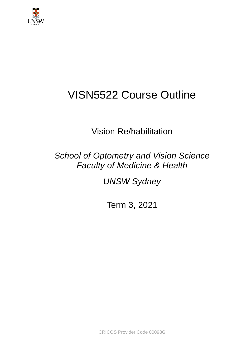

# VISN5522 Course Outline

Vision Re/habilitation

*School of Optometry and Vision Science Faculty of Medicine & Health*

*UNSW Sydney*

Term 3, 2021

CRICOS Provider Code 00098G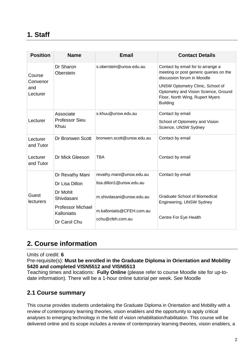# **1. Staff**

| <b>Position</b>                       | <b>Name</b>                                        | <b>Email</b>                                  | <b>Contact Details</b>                                                                                                                |
|---------------------------------------|----------------------------------------------------|-----------------------------------------------|---------------------------------------------------------------------------------------------------------------------------------------|
| Course<br>Convenor<br>and<br>Lecturer | Dr Sharon<br>Oberstein                             | s.oberstein@unsw.edu.au                       | Contact by email for to arrange a<br>meeting or post generic queries on the<br>discussion forum in Moodle                             |
|                                       |                                                    |                                               | <b>UNSW Optometry Clinic, School of</b><br>Optometry and Vision Science, Ground<br>Floor, North Wing, Rupert Myers<br><b>Building</b> |
|                                       | Associate                                          | s.khuu@unsw.edu.au                            | Contact by email                                                                                                                      |
| Lecturer                              | <b>Professor Sieu</b><br>Khuu                      |                                               | School of Optometry and Vision<br>Science, UNSW Sydney                                                                                |
| Lecturer<br>and Tutor                 | Dr Bronwen Scott                                   | bronwen.scott@unsw.edu.au                     | Contact by email                                                                                                                      |
| Lecturer<br>and Tutor                 | Dr Mick Gleeson                                    | <b>TBA</b>                                    | Contact by email                                                                                                                      |
|                                       | Dr Revathy Mani                                    | revathy.mani@unsw.edu.au                      | Contact by email                                                                                                                      |
|                                       | Dr Lisa Dillon                                     | lisa.dillon1@unsw.edu.au                      |                                                                                                                                       |
| Guest<br><b>lecturers</b>             | Dr Mohit<br>Shivdasani<br><b>Professor Michael</b> | m.shivdasani@unsw.edu.au                      | <b>Graduate School of Biomedical</b><br>Engineering, UNSW Sydney                                                                      |
|                                       | Kalloniatis<br>Dr Carol Chu                        | m.kalloniatis@CFEH.com.au<br>cchu@cfeh.com.au | Centre For Eye Health                                                                                                                 |

# **2. Course information**

Units of credit: **6**

Pre-requisite(s): **Must be enrolled in the Graduate Diploma in Orientation and Mobility 5420 and completed VISN5512 and VISN5513**

Teaching times and locations: **Fully Online** (please refer to course Moodle site for up-todate information). There will be a 1-hour online tutorial per week. See Moodle

#### **2.1 Course summary**

This course provides students undertaking the Graduate Diploma in Orientation and Mobility with a review of contemporary learning theories, vision enablers and the opportunity to apply critical analyses to emerging technology in the field of vision rehabilitation/habilitation. This course will be delivered online and its scope includes a review of contemporary learning theories, vision enablers, a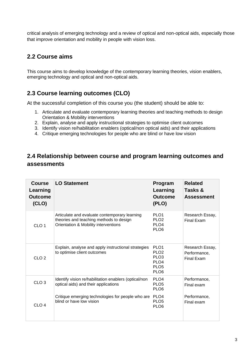critical analysis of emerging technology and a review of optical and non-optical aids, especially those that improve orientation and mobility in people with vision loss.

#### **2.2 Course aims**

This course aims to develop knowledge of the contemporary learning theories, vision enablers, emerging technology and optical and non-optical aids.

#### **2.3 Course learning outcomes (CLO)**

At the successful completion of this course you (the student) should be able to:

- 1. Articulate and evaluate contemporary learning theories and teaching methods to design Orientation & Mobility interventions
- 2. Explain, analyse and apply instructional strategies to optimise client outcomes
- 3. Identify vision re/habilitation enablers (optical/non optical aids) and their applications
- 4. Critique emerging technologies for people who are blind or have low vision

#### **2.4 Relationship between course and program learning outcomes and assessments**

| <b>Course</b><br>Learning<br><b>Outcome</b><br>(CLO) | <b>LO Statement</b>                                                                                                              | Program<br>Learning<br><b>Outcome</b><br>(PLO)                                                                       | <b>Related</b><br>Tasks &<br><b>Assessment</b>       |
|------------------------------------------------------|----------------------------------------------------------------------------------------------------------------------------------|----------------------------------------------------------------------------------------------------------------------|------------------------------------------------------|
| CLO <sub>1</sub>                                     | Articulate and evaluate contemporary learning<br>theories and teaching methods to design<br>Orientation & Mobility interventions | PLO <sub>1</sub><br>PLO <sub>2</sub><br>PLO <sub>4</sub><br>PLO <sub>6</sub>                                         | Research Essay,<br><b>Final Exam</b>                 |
| CLO <sub>2</sub>                                     | Explain, analyse and apply instructional strategies<br>to optimise client outcomes                                               | PLO <sub>1</sub><br>PLO <sub>2</sub><br>PLO <sub>3</sub><br>PLO <sub>4</sub><br>PLO <sub>5</sub><br>PLO <sub>6</sub> | Research Essay,<br>Performance,<br><b>Final Exam</b> |
| CLO <sub>3</sub>                                     | Identify vision re/habilitation enablers (optical/non<br>optical aids) and their applications                                    | PLO <sub>4</sub><br>PLO <sub>5</sub><br>PLO <sub>6</sub>                                                             | Performance,<br>Final exam                           |
| CLO <sub>4</sub>                                     | Critique emerging technologies for people who are<br>blind or have low vision                                                    | PLO <sub>4</sub><br>PLO <sub>5</sub><br>PLO <sub>6</sub>                                                             | Performance,<br>Final exam                           |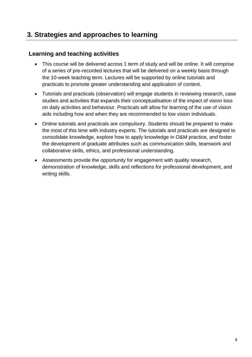# **3. Strategies and approaches to learning**

#### **Learning and teaching activities**

- This course will be delivered across 1 term of study and will be online. It will comprise of a series of pre-recorded lectures that will be delivered on a weekly basis through the 10-week teaching term. Lectures will be supported by online tutorials and practicals to promote greater understanding and application of content.
- Tutorials and practicals (observation) will engage students in reviewing research, case studies and activities that expands their conceptualisation of the impact of vision loss on daily activities and behaviour. Practicals will allow for learning of the use of vision aids including how and when they are recommended to low vision individuals.
- Online tutorials and practicals are compulsory. Students should be prepared to make the most of this time with industry experts. The tutorials and practicals are designed to consolidate knowledge, explore how to apply knowledge in O&M practice, and foster the development of graduate attributes such as communication skills, teamwork and collaborative skills, ethics, and professional understanding.
- Assessments provide the opportunity for engagement with quality research, demonstration of knowledge, skills and reflections for professional development, and writing skills.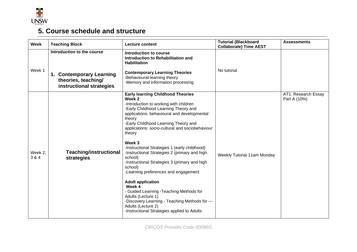

# **5. Course schedule and structure**

| <b>Week</b>      | <b>Teaching Block</b>                                                                                      | <b>Lecture content</b>                                                                                                                                                                                                                                                                                                                                                                                                                                                                                                                                                                                                                                                                                                                                       |                             | <b>Assessments</b>                  |
|------------------|------------------------------------------------------------------------------------------------------------|--------------------------------------------------------------------------------------------------------------------------------------------------------------------------------------------------------------------------------------------------------------------------------------------------------------------------------------------------------------------------------------------------------------------------------------------------------------------------------------------------------------------------------------------------------------------------------------------------------------------------------------------------------------------------------------------------------------------------------------------------------------|-----------------------------|-------------------------------------|
| Week 1           | Introduction to the course<br>1. Contemporary Learning<br>theories, teaching/<br>instructional strategies. | Introduction to course<br>Introduction to Rehabilitation and<br><b>Habilitation</b><br><b>Contemporary Learning Theories</b><br>-Behavioural-learning theory<br>-Memory and information processing                                                                                                                                                                                                                                                                                                                                                                                                                                                                                                                                                           | No tutorial                 |                                     |
| Week 2,<br>3 & 4 | <b>Teaching/instructional</b><br>strategies.                                                               | <b>Early learning Childhood Theories</b><br>Week 2<br>-Introduction to working with children<br>-Early Childhood Learning Theory and<br>applications: behavioural and developmental<br>theory<br>-Early Childhood Learning Theory and<br>applications: socio-cultural and sociobehaviour<br>theory<br>Week 3<br>-Instructional Strategies 1 (early childhood)<br>-Instructional Strategies 2 (primary and high<br>school)<br>-Instructional Strategies 3 (primary and high<br>school)<br>-Learning preferences and engagement<br><b>Adult application</b><br>Week 4<br>- Guided Learning - Teaching Methods for<br>Adults (Lecture 1)<br>-Discovery Learning - Teaching Methods for ---<br>Adults (Lecture 2)<br>-Instructional Strategies applied to Adults | Weekly Tutorial 11am Monday | AT1: Research Essay<br>Part A (10%) |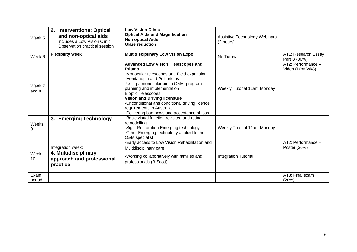| Week 5          | 2. Interventions: Optical<br>and non-optical aids<br>includes a Low Vision Clinic<br>Observation practical session | <b>Low Vision Clinic</b><br><b>Optical Aids and Magnification</b><br><b>Non optical Aids</b><br><b>Glare reduction</b>                                                                                                                                                                                                                                                                                            | Assistive Technology Webinars<br>(2 hours) |                                       |
|-----------------|--------------------------------------------------------------------------------------------------------------------|-------------------------------------------------------------------------------------------------------------------------------------------------------------------------------------------------------------------------------------------------------------------------------------------------------------------------------------------------------------------------------------------------------------------|--------------------------------------------|---------------------------------------|
| Week 6          | <b>Flexibility week</b>                                                                                            | <b>Multidisciplinary Low Vision Expo</b>                                                                                                                                                                                                                                                                                                                                                                          | No Tutorial                                | AT1: Research Essay<br>Part B (30%)   |
| Week 7<br>and 8 |                                                                                                                    | <b>Advanced Low vision: Telescopes and</b><br><b>Prisms</b><br>-Monocular telescopes and Field expansion<br>-Hemianopia and Peli prisms<br>-Using a monocular aid in O&M program<br>planning and implementation<br><b>Bioptic Telescopes</b><br><b>Vision and Driving licensure</b><br>-Unconditional and conditional driving licence<br>requirements in Australia<br>-Delivering bad news and acceptance of loss | <b>Weekly Tutorial 11am Monday</b>         | AT2: Performance -<br>Video (10% Wk8) |
| Weeks<br>9      | 3. Emerging Technology                                                                                             | -Basic visual function revisited and retinal<br>remodelling<br>-Sight Restoration Emerging technology<br>-Other Emerging technology applied to the<br>O&M specialist                                                                                                                                                                                                                                              | Weekly Tutorial 11am Monday                |                                       |
| Week<br>10      | Integration week:<br>4. Multidisciplinary<br>approach and professional<br>practice                                 | -Early access to Low Vision Rehabilitation and<br>Multidisciplinary care<br>-Working collaboratively with families and<br>professionals (B Scott)                                                                                                                                                                                                                                                                 | <b>Integration Tutorial</b>                | AT2: Performance -<br>Poster (30%)    |
| Exam<br>period  |                                                                                                                    |                                                                                                                                                                                                                                                                                                                                                                                                                   |                                            | AT3: Final exam<br>(20%)              |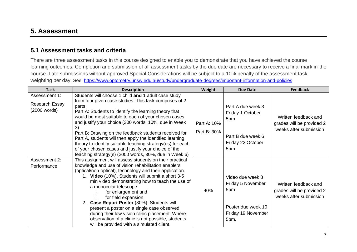#### **5. Assessment**

#### **5.1 Assessment tasks and criteria**

There are three assessment tasks in this course designed to enable you to demonstrate that you have achieved the course learning outcomes. Completion and submission of all assessment tasks by the due date are necessary to receive a final mark in the course. Late submissions without approved Special Considerations will be subject to a 10% penalty of the assessment task weighting per day. See:<https://www.optometry.unsw.edu.au/study/undergraduate-degrees/important-information-and-policies>

| <b>Task</b>                                     | <b>Description</b>                                                                                                                                                                                                                                                                                                                                                                                                                                                                                                                                                                                         | Weight                     | <b>Due Date</b>                                                                                  | <b>Feedback</b>                                                             |
|-------------------------------------------------|------------------------------------------------------------------------------------------------------------------------------------------------------------------------------------------------------------------------------------------------------------------------------------------------------------------------------------------------------------------------------------------------------------------------------------------------------------------------------------------------------------------------------------------------------------------------------------------------------------|----------------------------|--------------------------------------------------------------------------------------------------|-----------------------------------------------------------------------------|
| Assessment 1:<br>Research Essay<br>(2000 words) | Students will choose 1 child and 1 adult case study<br>from four given case studies. This task comprises of 2<br>parts:<br>Part A: Students to identify the learning theory that<br>would be most suitable to each of your chosen cases<br>and justify your choice (300 words, 10%, due in Week<br>3)<br>Part B: Drawing on the feedback students received for<br>Part A, students will then apply the identified learning<br>theory to identify suitable teaching strategy(es) for each<br>of your chosen cases and justify your choice of the<br>teaching strategy(s) (2000 words, 30%, due in Week 6)   | Part A: 10%<br>Part B: 30% | Part A due week 3<br>Friday 1 October<br>5pm<br>Part B due week 6<br>Friday 22 October<br>5pm    | Written feedback and<br>grades will be provided 2<br>weeks after submission |
| Assessment 2:<br>Performance                    | This assignment will assess students on their practical<br>knowledge and use of vision rehabilitation enablers<br>(optical/non-optical), technology and their application.<br>1. Video (10%). Students will submit a short 3-5<br>min video demonstrating how to teach the use of<br>a monocular telescope:<br>for enlargement and<br>for field expansion<br>2. Case Report Poster (30%). Students will<br>present a poster on a single case observed<br>during their low vision clinic placement. Where<br>observation of a clinic is not possible, students<br>will be provided with a simulated client. | 40%                        | Video due week 8<br>Friday 5 November<br>5pm<br>Poster due week 10<br>Friday 19 November<br>5pm. | Written feedback and<br>grades will be provided 2<br>weeks after submission |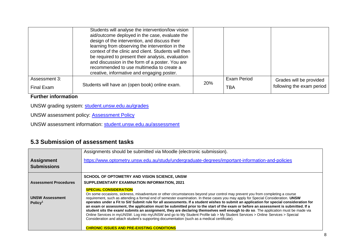|                             | Students will analyse the intervention/low vision<br>aid/outcome deployed in the case, evaluate the<br>design of the intervention, and discuss their<br>learning from observing the intervention in the<br>context of the clinic and client. Students will then<br>be required to present their analysis, evaluation<br>and discussion in the form of a poster. You are<br>recommended to use multimedia to create a<br>creative, informative and engaging poster. |     |                    |                                                      |
|-----------------------------|--------------------------------------------------------------------------------------------------------------------------------------------------------------------------------------------------------------------------------------------------------------------------------------------------------------------------------------------------------------------------------------------------------------------------------------------------------------------|-----|--------------------|------------------------------------------------------|
| Assessment 3:<br>Final Exam | Students will have an (open book) online exam.                                                                                                                                                                                                                                                                                                                                                                                                                     | 20% | Exam Period<br>TBA | Grades will be provided<br>following the exam period |

#### **Further information**

UNSW grading system: [student.unsw.edu.au/grades](https://student.unsw.edu.au/grades)

UNSW assessment policy: [Assessment Policy](https://www.gs.unsw.edu.au/policy/documents/assessmentpolicy.pdf)

UNSW assessment information: [student.unsw.edu.au/assessment](https://student.unsw.edu.au/assessment)

#### **5.3 Submission of assessment tasks**

|                                               | Assignments should be submitted via Moodle (electronic submission).                                                                                                                                                                                                                                                                                                                                                                                                                                                                                                                                                                                                                                                                                                                                                                                                                                                                                         |
|-----------------------------------------------|-------------------------------------------------------------------------------------------------------------------------------------------------------------------------------------------------------------------------------------------------------------------------------------------------------------------------------------------------------------------------------------------------------------------------------------------------------------------------------------------------------------------------------------------------------------------------------------------------------------------------------------------------------------------------------------------------------------------------------------------------------------------------------------------------------------------------------------------------------------------------------------------------------------------------------------------------------------|
| <b>Assignment</b>                             | https://www.optometry.unsw.edu.au/study/undergraduate-degrees/important-information-and-policies                                                                                                                                                                                                                                                                                                                                                                                                                                                                                                                                                                                                                                                                                                                                                                                                                                                            |
| <b>Submissions</b>                            |                                                                                                                                                                                                                                                                                                                                                                                                                                                                                                                                                                                                                                                                                                                                                                                                                                                                                                                                                             |
|                                               | SCHOOL OF OPTOMETRY AND VISION SCIENCE, UNSW                                                                                                                                                                                                                                                                                                                                                                                                                                                                                                                                                                                                                                                                                                                                                                                                                                                                                                                |
| <b>Assessment Procedures</b>                  | SUPPLEMENTARY EXAMINATION INFORMATION, 2021                                                                                                                                                                                                                                                                                                                                                                                                                                                                                                                                                                                                                                                                                                                                                                                                                                                                                                                 |
| <b>UNSW Assessment</b><br>Policy <sup>1</sup> | <b>SPECIAL CONSIDERATION</b><br>On some occasions, sickness, misadventure or other circumstances beyond your control may prevent you from completing a course<br>requirement, such as attending a formal end of semester examination. In these cases you may apply for Special Consideration. UNSW<br>operates under a Fit to Sit/ Submit rule for all assessments. If a student wishes to submit an application for special consideration for<br>an exam or assessment, the application must be submitted prior to the start of the exam or before an assessment is submitted. If a<br>student sits the exam/ submits an assignment, they are declaring themselves well enough to do so. The application must be made via<br>Online Services in myUNSW. Log into myUNSW and go to My Student Profile tab > My Student Services > Online Services > Special<br>Consideration and attach student's supporting documentation (such as a medical certificate). |
|                                               | <b>CHRONIC ISSUES AND PRE-EXISTING CONDITIONS</b>                                                                                                                                                                                                                                                                                                                                                                                                                                                                                                                                                                                                                                                                                                                                                                                                                                                                                                           |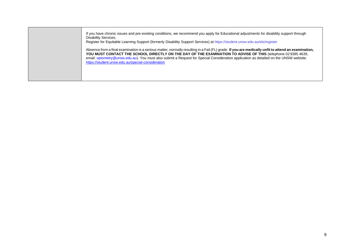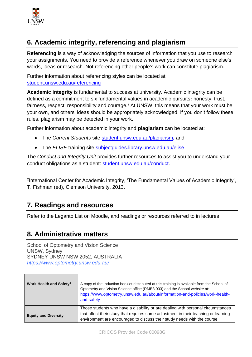

# **6. Academic integrity, referencing and plagiarism**

**Referencing** is a way of acknowledging the sources of information that you use to research your assignments. You need to provide a reference whenever you draw on someone else's words, ideas or research. Not referencing other people's work can constitute plagiarism.

Further information about referencing styles can be located at [student.unsw.edu.au/referencing](https://student.unsw.edu.au/referencing)

**Academic integrity** is fundamental to success at university. Academic integrity can be defined as a commitment to six fundamental values in academic pursuits**:** honesty, trust, fairness, respect, responsibility and courage.<sup>2</sup> At UNSW, this means that your work must be your own, and others' ideas should be appropriately acknowledged. If you don't follow these rules, plagiarism may be detected in your work.

Further information about academic integrity and **plagiarism** can be located at:

- The *Current Students* site [student.unsw.edu.au/plagiarism](https://student.unsw.edu.au/plagiarism)*,* and
- The *ELISE* training site [subjectguides.library.unsw.edu.au/elise](http://subjectguides.library.unsw.edu.au/elise)

The *Conduct and Integrity Unit* provides further resources to assist you to understand your conduct obligations as a student: [student.unsw.edu.au/conduct.](https://student.unsw.edu.au/conduct)

<sup>2</sup>International Center for Academic Integrity, 'The Fundamental Values of Academic Integrity', T. Fishman (ed), Clemson University, 2013.

## **7. Readings and resources**

Refer to the Leganto List on Moodle, and readings or resources referred to in lectures

## **8. Administrative matters**

School of Optometry and Vision Science UNSW, Sydney SYDNEY UNSW NSW 2052, AUSTRALIA *https://www.optometry.unsw.edu.au/*

| Work Health and Safety <sup>3</sup> | A copy of the Induction booklet distributed at this training is available from the School of<br>Optometry and Vision Science office (RMB3.003) and the School website at:<br>https://www.optometry.unsw.edu.au/about/information-and-policies/work-health-<br>and-safety |
|-------------------------------------|--------------------------------------------------------------------------------------------------------------------------------------------------------------------------------------------------------------------------------------------------------------------------|
| <b>Equity and Diversity</b>         | Those students who have a disability or are dealing with personal circumstances<br>that affect their study that requires some adjustment in their teaching or learning<br>environment are encouraged to discuss their study needs with the course                        |